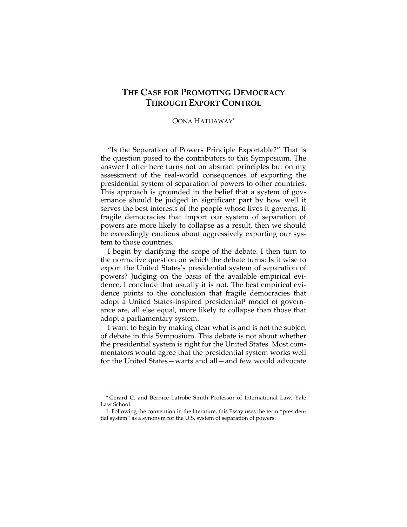## **THE CASE FOR PROMOTING DEMOCRACY THROUGH EXPORT CONTROL**

## OONA HATHAWAY\*

"Is the Separation of Powers Principle Exportable?" That is the question posed to the contributors to this Symposium. The answer I offer here turns not on abstract principles but on my assessment of the real‐world consequences of exporting the presidential system of separation of powers to other countries. This approach is grounded in the belief that a system of governance should be judged in significant part by how well it serves the best interests of the people whose lives it governs. If fragile democracies that import our system of separation of powers are more likely to collapse as a result, then we should be exceedingly cautious about aggressively exporting our system to those countries.

I begin by clarifying the scope of the debate. I then turn to the normative question on which the debate turns: Is it wise to export the United States's presidential system of separation of powers? Judging on the basis of the available empirical evi‐ dence, I conclude that usually it is not. The best empirical evi‐ dence points to the conclusion that fragile democracies that adopt a United States-inspired presidential<sup>1</sup> model of governance are, all else equal, more likely to collapse than those that adopt a parliamentary system.

I want to begin by making clear what is and is not the subject of debate in this Symposium. This debate is not about whether the presidential system is right for the United States. Most com‐ mentators would agree that the presidential system works well for the United States—warts and all—and few would advocate

<sup>&</sup>lt;u> 1989 - Johann Stein, marwolaethau a bhann an t-Amhain an t-Amhain an t-Amhain an t-Amhain an t-Amhain an t-A</u> \* Gerard C. and Bernice Latrobe Smith Professor of International Law, Yale Law School.

<sup>1.</sup> Following the convention in the literature, this Essay uses the term "presiden‐ tial system" as a synonym for the U.S. system of separation of powers.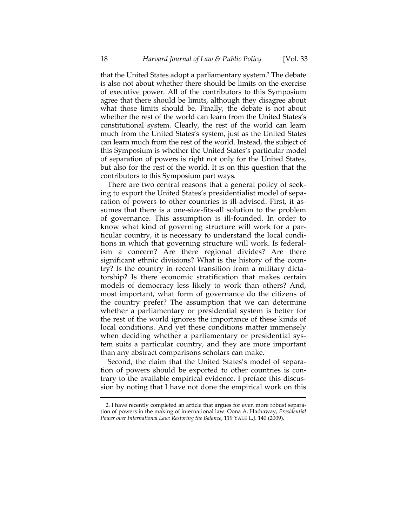that the United States adopt a parliamentary system.2 The debate is also not about whether there should be limits on the exercise of executive power. All of the contributors to this Symposium agree that there should be limits, although they disagree about what those limits should be. Finally, the debate is not about whether the rest of the world can learn from the United States's constitutional system. Clearly, the rest of the world can learn much from the United States's system, just as the United States can learn much from the rest of the world. Instead, the subject of this Symposium is whether the United States's particular model of separation of powers is right not only for the United States, but also for the rest of the world. It is on this question that the contributors to this Symposium part ways.

There are two central reasons that a general policy of seek‐ ing to export the United States's presidentialist model of sepa‐ ration of powers to other countries is ill-advised. First, it assumes that there is a one‐size‐fits‐all solution to the problem of governance. This assumption is ill‐founded. In order to know what kind of governing structure will work for a par‐ ticular country, it is necessary to understand the local condi‐ tions in which that governing structure will work. Is federal‐ ism a concern? Are there regional divides? Are there significant ethnic divisions? What is the history of the country? Is the country in recent transition from a military dicta‐ torship? Is there economic stratification that makes certain models of democracy less likely to work than others? And, most important, what form of governance do the citizens of the country prefer? The assumption that we can determine whether a parliamentary or presidential system is better for the rest of the world ignores the importance of these kinds of local conditions. And yet these conditions matter immensely when deciding whether a parliamentary or presidential system suits a particular country, and they are more important than any abstract comparisons scholars can make.

Second, the claim that the United States's model of separation of powers should be exported to other countries is con‐ trary to the available empirical evidence. I preface this discus‐ sion by noting that I have not done the empirical work on this

<u> 1989 - Johann Stein, marwolaethau a bhann an t-Amhain an t-Amhain an t-Amhain an t-Amhain an t-Amhain an t-A</u>

<sup>2.</sup> I have recently completed an article that argues for even more robust separa‐ tion of powers in the making of international law. Oona A. Hathaway, *Presidential Power over International Law: Restoring the Balance*, 119 YALE L.J. 140 (2009).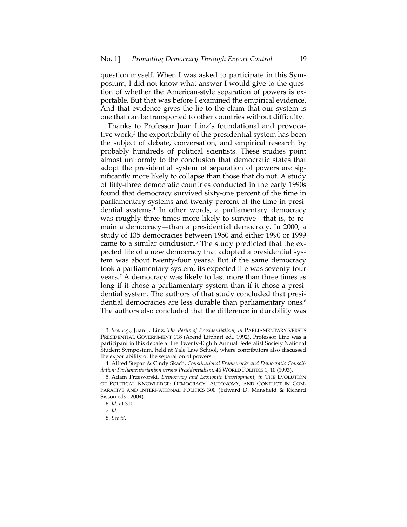question myself. When I was asked to participate in this Sym‐ posium, I did not know what answer I would give to the question of whether the American-style separation of powers is exportable. But that was before I examined the empirical evidence. And that evidence gives the lie to the claim that our system is one that can be transported to other countries without difficulty.

Thanks to Professor Juan Linz's foundational and provoca‐ tive work, $3$  the exportability of the presidential system has been the subject of debate, conversation, and empirical research by probably hundreds of political scientists. These studies point almost uniformly to the conclusion that democratic states that adopt the presidential system of separation of powers are significantly more likely to collapse than those that do not. A study of fifty‐three democratic countries conducted in the early 1990s found that democracy survived sixty-one percent of the time in parliamentary systems and twenty percent of the time in presi‐ dential systems.<sup>4</sup> In other words, a parliamentary democracy was roughly three times more likely to survive—that is, to remain a democracy—than a presidential democracy. In 2000, a study of 135 democracies between 1950 and either 1990 or 1999 came to a similar conclusion.<sup>5</sup> The study predicted that the expected life of a new democracy that adopted a presidential sys‐ tem was about twenty‐four years.6 But if the same democracy took a parliamentary system, its expected life was seventy‐four years.7 A democracy was likely to last more than three times as long if it chose a parliamentary system than if it chose a presidential system. The authors of that study concluded that presidential democracies are less durable than parliamentary ones.<sup>8</sup> The authors also concluded that the difference in durability was

<sup>3.</sup> *See, e.g*., Juan J. Linz, *The Perils of Presidentialism*, *in* PARLIAMENTARY VERSUS PRESIDENTIAL GOVERNMENT 118 (Arend Lijphart ed., 1992). Professor Linz was a participant in this debate at the Twenty‐Eighth Annual Federalist Society National Student Symposium, held at Yale Law School, where contributors also discussed the exportability of the separation of powers.

<sup>4.</sup> Alfred Stepan & Cindy Skach, *Constitutional Frameworks and Democratic Consoli‐ dation: Parliamentarianism versus Presidentialism*, 46 WORLD POLITICS 1, 10 (1993).

<sup>5.</sup> Adam Przeworski, *Democracy and Economic Development*, *in* THE EVOLUTION OF POLITICAL KNOWLEDGE: DEMOCRACY, AUTONOMY, AND CONFLICT IN COM‐ PARATIVE AND INTERNATIONAL POLITICS 300 (Edward D. Mansfield & Richard Sisson eds., 2004).

<sup>6.</sup> *Id*. at 310.

<sup>7.</sup> *Id*.

<sup>8.</sup> *See id*.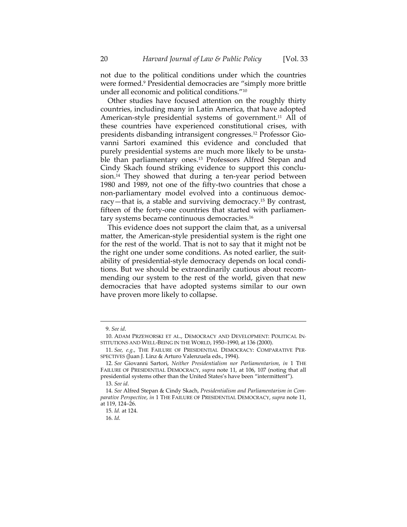not due to the political conditions under which the countries were formed.9 Presidential democracies are "simply more brittle under all economic and political conditions."10

Other studies have focused attention on the roughly thirty countries, including many in Latin America, that have adopted American-style presidential systems of government.<sup>11</sup> All of these countries have experienced constitutional crises, with presidents disbanding intransigent congresses.12 Professor Gio‐ vanni Sartori examined this evidence and concluded that purely presidential systems are much more likely to be unsta‐ ble than parliamentary ones.<sup>13</sup> Professors Alfred Stepan and Cindy Skach found striking evidence to support this conclu‐ sion.<sup>14</sup> They showed that during a ten-year period between 1980 and 1989, not one of the fifty-two countries that chose a non-parliamentary model evolved into a continuous democracy—that is, a stable and surviving democracy.15 By contrast, fifteen of the forty-one countries that started with parliamentary systems became continuous democracies.16

This evidence does not support the claim that, as a universal matter, the American‐style presidential system is the right one for the rest of the world. That is not to say that it might not be the right one under some conditions. As noted earlier, the suit‐ ability of presidential‐style democracy depends on local condi‐ tions. But we should be extraordinarily cautious about recom‐ mending our system to the rest of the world, given that new democracies that have adopted systems similar to our own have proven more likely to collapse.

<u> 1989 - Johann Stein, marwolaethau a bhann an t-Amhain an t-Amhain an t-Amhain an t-Amhain an t-Amhain an t-A</u>

<sup>9.</sup> *See id*.

<sup>10.</sup> ADAM PRZEWORSKI ET AL., DEMOCRACY AND DEVELOPMENT: POLITICAL IN‐ STITUTIONS AND WELL‐BEING IN THE WORLD, 1950–1990, at 136 (2000).

<sup>11.</sup> *See, e.g.*, THE FAILURE OF PRESIDENTIAL DEMOCRACY: COMPARATIVE PER‐ SPECTIVES (Juan J. Linz & Arturo Valenzuela eds., 1994).

<sup>12.</sup> *See* Giovanni Sartori, *Neither Presidentialism nor Parliamentarism*, *in* 1 THE FAILURE OF PRESIDENTIAL DEMOCRACY, *supra* note 11, at 106, 107 (noting that all presidential systems other than the United States's have been "intermittent").

<sup>13.</sup> *See id*.

<sup>14.</sup> *See* Alfred Stepan & Cindy Skach, *Presidentialism and Parliamentarism in Com‐ parative Perspective*, *in* 1 THE FAILURE OF PRESIDENTIAL DEMOCRACY, *supra* note 11, at 119, 124–26.

<sup>15.</sup> *Id.* at 124.

<sup>16.</sup> *Id*.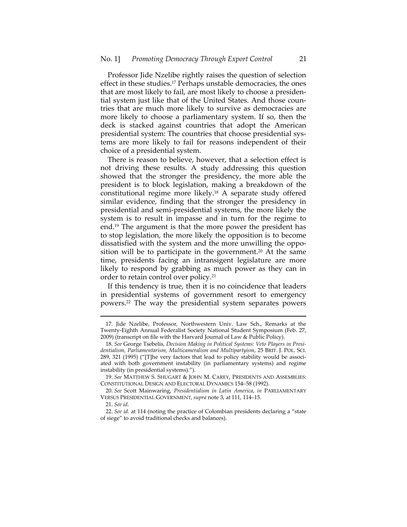Professor Jide Nzelibe rightly raises the question of selection effect in these studies.17 Perhaps unstable democracies, the ones that are most likely to fail, are most likely to choose a presiden‐ tial system just like that of the United States. And those coun‐ tries that are much more likely to survive as democracies are more likely to choose a parliamentary system. If so, then the deck is stacked against countries that adopt the American presidential system: The countries that choose presidential sys‐ tems are more likely to fail for reasons independent of their choice of a presidential system.

There is reason to believe, however, that a selection effect is not driving these results. A study addressing this question showed that the stronger the presidency, the more able the president is to block legislation, making a breakdown of the constitutional regime more likely.18 A separate study offered similar evidence, finding that the stronger the presidency in presidential and semi‐presidential systems, the more likely the system is to result in impasse and in turn for the regime to end.19 The argument is that the more power the president has to stop legislation, the more likely the opposition is to become dissatisfied with the system and the more unwilling the oppo‐ sition will be to participate in the government.<sup>20</sup> At the same time, presidents facing an intransigent legislature are more likely to respond by grabbing as much power as they can in order to retain control over policy.21

If this tendency is true, then it is no coincidence that leaders in presidential systems of government resort to emergency powers.22 The way the presidential system separates powers

<sup>17.</sup> Jide Nzelibe, Professor, Northwestern Univ. Law Sch., Remarks at the Twenty‐Eighth Annual Federalist Society National Student Symposium (Feb. 27, 2009) (transcript on file with the Harvard Journal of Law & Public Policy).

<sup>18.</sup> *See* George Tsebelis, *Decision Making in Political Systems: Veto Players in Presi‐ dentialism, Parliamentarism, Multicameralism and Multipartyism*, 25 BRIT. J. POL. SCI. 289, 321 (1995) ("[T]he very factors that lead to policy stability would be associated with both government instability (in parliamentary systems) and regime instability (in presidential systems).").

<sup>19.</sup> *See* MATTHEW S. SHUGART & JOHN M. CAREY, PRESIDENTS AND ASSEMBLIES: CONSTITUTIONAL DESIGN AND ELECTORAL DYNAMICS 154–58 (1992).

<sup>20.</sup> *See* Scott Mainwaring, *Presidentialism in Latin America*, *in* PARLIAMENTARY VERSUS PRESIDENTIAL GOVERNMENT, *supra* note 3, at 111, 114–15.

<sup>21.</sup> *See id*.

<sup>22.</sup> *See id.* at 114 (noting the practice of Colombian presidents declaring a "state of siege" to avoid traditional checks and balances).